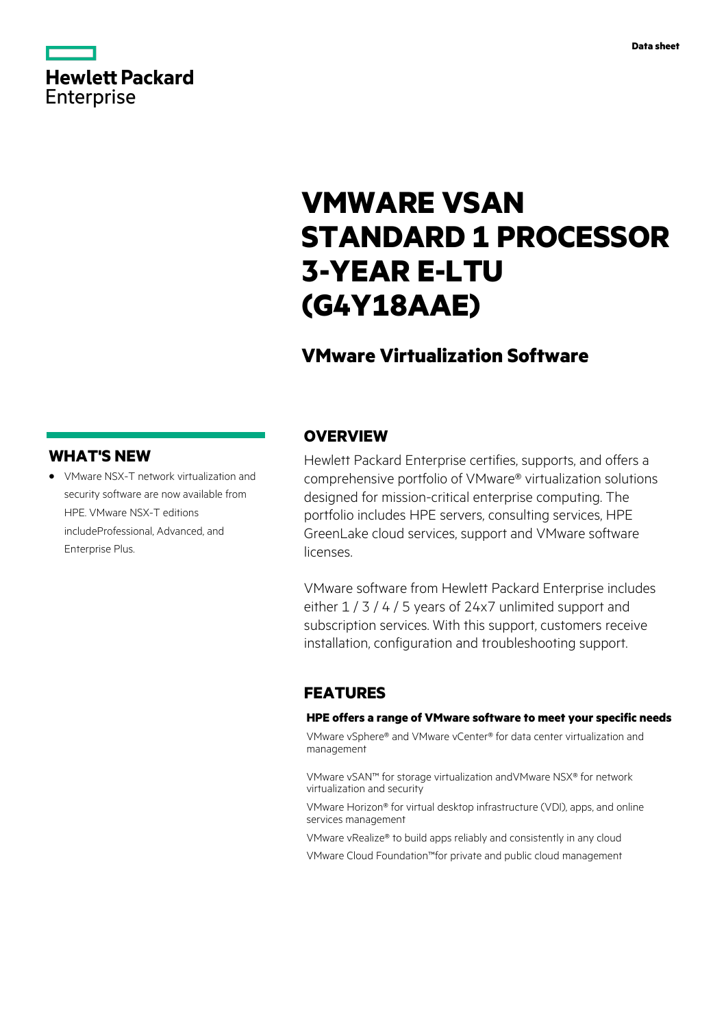# **Hewlett Packard** Enterprise

# **VMWARE VSAN STANDARD 1 PROCESSOR 3-YEAR E-LTU (G4Y18AAE)**

## **VMware Virtualization Software**

## **WHAT'S NEW**

**·** VMware NSX-T network virtualization and security software are now available from HPE. VMware NSX-T editions includeProfessional, Advanced, and Enterprise Plus.

## **OVERVIEW**

Hewlett Packard Enterprise certifies, supports, and offers a comprehensive portfolio of VMware® virtualization solutions designed for mission-critical enterprise computing. The portfolio includes HPE servers, consulting services, HPE GreenLake cloud services, support and VMware software licenses.

VMware software from Hewlett Packard Enterprise includes either  $1/3/4/5$  years of 24x7 unlimited support and subscription services. With this support, customers receive installation, configuration and troubleshooting support.

## **FEATURES**

#### **HPE offers a range of VMware software to meet your specific needs**

VMware vSphere® and VMware vCenter® for data center virtualization and management

VMware vSAN™ for storage virtualization andVMware NSX® for network virtualization and security

VMware Horizon® for virtual desktop infrastructure (VDI), apps, and online services management

VMware vRealize® to build apps reliably and consistently in any cloud

VMware Cloud Foundation™for private and public cloud management